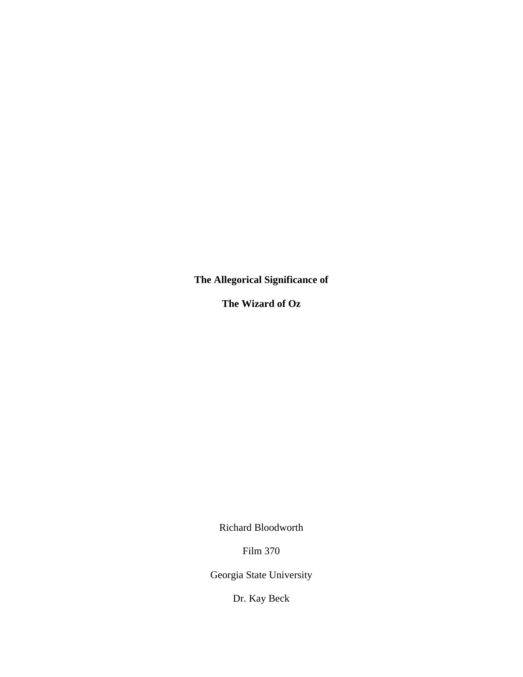**The Allegorical Significance of** 

**The Wizard of Oz** 

Richard Bloodworth

Film 370

Georgia State University

Dr. Kay Beck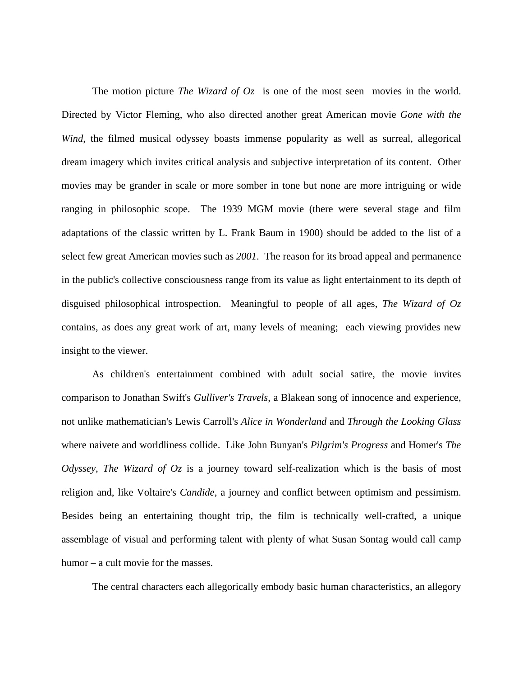The motion picture *The Wizard of Oz* is one of the most seen movies in the world. Directed by Victor Fleming, who also directed another great American movie *Gone with the Wind*, the filmed musical odyssey boasts immense popularity as well as surreal, allegorical dream imagery which invites critical analysis and subjective interpretation of its content. Other movies may be grander in scale or more somber in tone but none are more intriguing or wide ranging in philosophic scope. The 1939 MGM movie (there were several stage and film adaptations of the classic written by L. Frank Baum in 1900) should be added to the list of a select few great American movies such as *2001*. The reason for its broad appeal and permanence in the public's collective consciousness range from its value as light entertainment to its depth of disguised philosophical introspection. Meaningful to people of all ages, *The Wizard of Oz* contains, as does any great work of art, many levels of meaning; each viewing provides new insight to the viewer.

 As children's entertainment combined with adult social satire, the movie invites comparison to Jonathan Swift's *Gulliver's Travels*, a Blakean song of innocence and experience, not unlike mathematician's Lewis Carroll's *Alice in Wonderland* and *Through the Looking Glass* where naivete and worldliness collide. Like John Bunyan's *Pilgrim's Progress* and Homer's *The Odyssey*, *The Wizard of Oz* is a journey toward self-realization which is the basis of most religion and, like Voltaire's *Candide*, a journey and conflict between optimism and pessimism. Besides being an entertaining thought trip, the film is technically well-crafted, a unique assemblage of visual and performing talent with plenty of what Susan Sontag would call camp humor – a cult movie for the masses.

The central characters each allegorically embody basic human characteristics, an allegory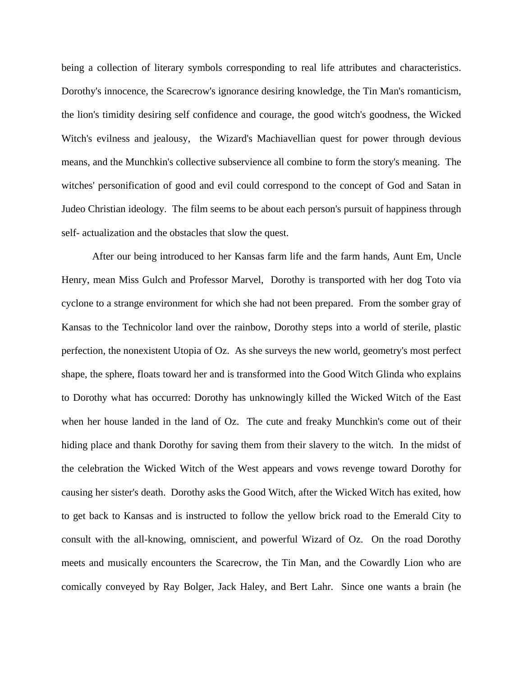being a collection of literary symbols corresponding to real life attributes and characteristics. Dorothy's innocence, the Scarecrow's ignorance desiring knowledge, the Tin Man's romanticism, the lion's timidity desiring self confidence and courage, the good witch's goodness, the Wicked Witch's evilness and jealousy, the Wizard's Machiavellian quest for power through devious means, and the Munchkin's collective subservience all combine to form the story's meaning. The witches' personification of good and evil could correspond to the concept of God and Satan in Judeo Christian ideology. The film seems to be about each person's pursuit of happiness through self- actualization and the obstacles that slow the quest.

 After our being introduced to her Kansas farm life and the farm hands, Aunt Em, Uncle Henry, mean Miss Gulch and Professor Marvel, Dorothy is transported with her dog Toto via cyclone to a strange environment for which she had not been prepared. From the somber gray of Kansas to the Technicolor land over the rainbow, Dorothy steps into a world of sterile, plastic perfection, the nonexistent Utopia of Oz. As she surveys the new world, geometry's most perfect shape, the sphere, floats toward her and is transformed into the Good Witch Glinda who explains to Dorothy what has occurred: Dorothy has unknowingly killed the Wicked Witch of the East when her house landed in the land of Oz. The cute and freaky Munchkin's come out of their hiding place and thank Dorothy for saving them from their slavery to the witch. In the midst of the celebration the Wicked Witch of the West appears and vows revenge toward Dorothy for causing her sister's death. Dorothy asks the Good Witch, after the Wicked Witch has exited, how to get back to Kansas and is instructed to follow the yellow brick road to the Emerald City to consult with the all-knowing, omniscient, and powerful Wizard of Oz. On the road Dorothy meets and musically encounters the Scarecrow, the Tin Man, and the Cowardly Lion who are comically conveyed by Ray Bolger, Jack Haley, and Bert Lahr. Since one wants a brain (he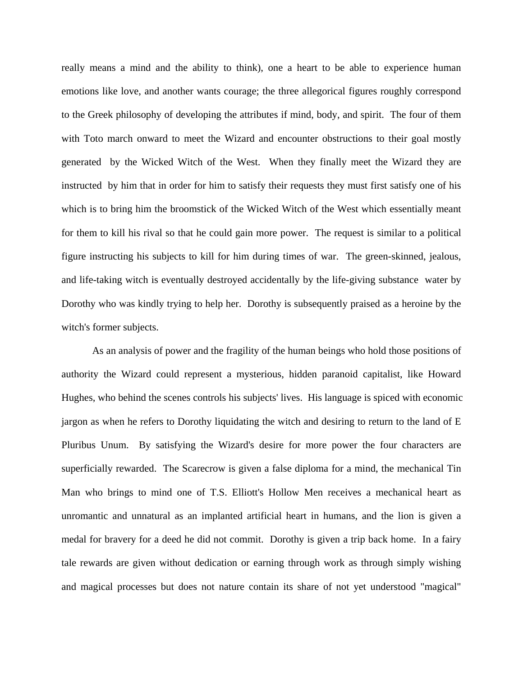really means a mind and the ability to think), one a heart to be able to experience human emotions like love, and another wants courage; the three allegorical figures roughly correspond to the Greek philosophy of developing the attributes if mind, body, and spirit. The four of them with Toto march onward to meet the Wizard and encounter obstructions to their goal mostly generated by the Wicked Witch of the West. When they finally meet the Wizard they are instructed by him that in order for him to satisfy their requests they must first satisfy one of his which is to bring him the broomstick of the Wicked Witch of the West which essentially meant for them to kill his rival so that he could gain more power. The request is similar to a political figure instructing his subjects to kill for him during times of war. The green-skinned, jealous, and life-taking witch is eventually destroyed accidentally by the life-giving substance water by Dorothy who was kindly trying to help her. Dorothy is subsequently praised as a heroine by the witch's former subjects.

 As an analysis of power and the fragility of the human beings who hold those positions of authority the Wizard could represent a mysterious, hidden paranoid capitalist, like Howard Hughes, who behind the scenes controls his subjects' lives. His language is spiced with economic jargon as when he refers to Dorothy liquidating the witch and desiring to return to the land of E Pluribus Unum. By satisfying the Wizard's desire for more power the four characters are superficially rewarded. The Scarecrow is given a false diploma for a mind, the mechanical Tin Man who brings to mind one of T.S. Elliott's Hollow Men receives a mechanical heart as unromantic and unnatural as an implanted artificial heart in humans, and the lion is given a medal for bravery for a deed he did not commit. Dorothy is given a trip back home. In a fairy tale rewards are given without dedication or earning through work as through simply wishing and magical processes but does not nature contain its share of not yet understood "magical"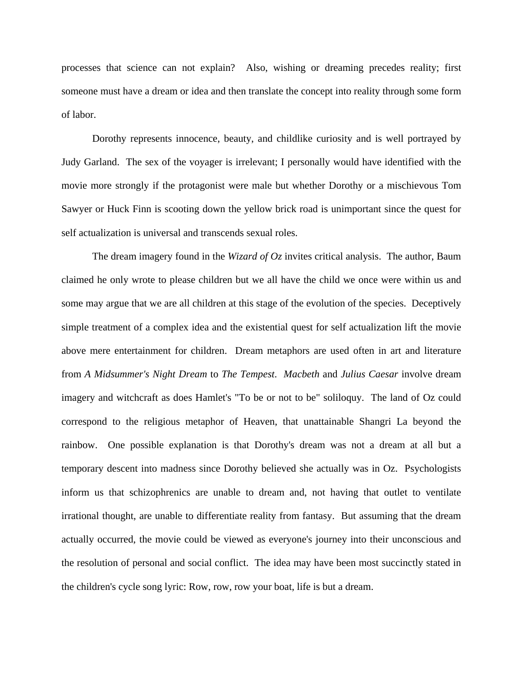processes that science can not explain? Also, wishing or dreaming precedes reality; first someone must have a dream or idea and then translate the concept into reality through some form of labor.

 Dorothy represents innocence, beauty, and childlike curiosity and is well portrayed by Judy Garland. The sex of the voyager is irrelevant; I personally would have identified with the movie more strongly if the protagonist were male but whether Dorothy or a mischievous Tom Sawyer or Huck Finn is scooting down the yellow brick road is unimportant since the quest for self actualization is universal and transcends sexual roles.

 The dream imagery found in the *Wizard of Oz* invites critical analysis. The author, Baum claimed he only wrote to please children but we all have the child we once were within us and some may argue that we are all children at this stage of the evolution of the species. Deceptively simple treatment of a complex idea and the existential quest for self actualization lift the movie above mere entertainment for children. Dream metaphors are used often in art and literature from *A Midsummer's Night Dream* to *The Tempest*. *Macbeth* and *Julius Caesar* involve dream imagery and witchcraft as does Hamlet's "To be or not to be" soliloquy. The land of Oz could correspond to the religious metaphor of Heaven, that unattainable Shangri La beyond the rainbow. One possible explanation is that Dorothy's dream was not a dream at all but a temporary descent into madness since Dorothy believed she actually was in Oz. Psychologists inform us that schizophrenics are unable to dream and, not having that outlet to ventilate irrational thought, are unable to differentiate reality from fantasy. But assuming that the dream actually occurred, the movie could be viewed as everyone's journey into their unconscious and the resolution of personal and social conflict. The idea may have been most succinctly stated in the children's cycle song lyric: Row, row, row your boat, life is but a dream.